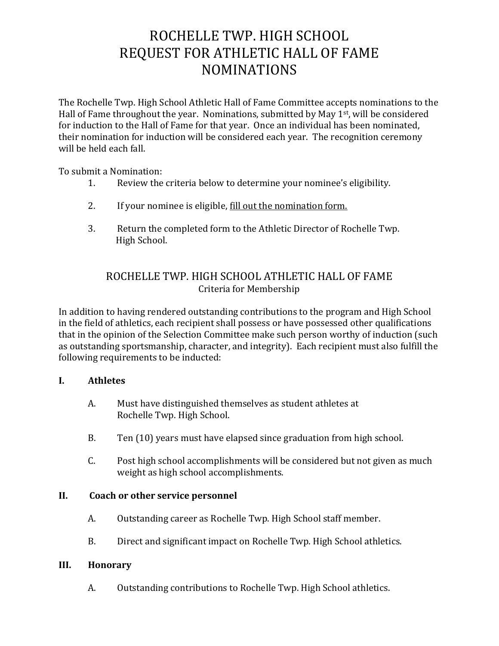# ROCHELLE TWP. HIGH SCHOOL REQUEST FOR ATHLETIC HALL OF FAME NOMINATIONS

The Rochelle Twp. High School Athletic Hall of Fame Committee accepts nominations to the Hall of Fame throughout the year. Nominations, submitted by May 1<sup>st</sup>, will be considered for induction to the Hall of Fame for that year. Once an individual has been nominated, their nomination for induction will be considered each year. The recognition ceremony will be held each fall.

To submit a Nomination:

- 1. Review the criteria below to determine your nominee's eligibility.
- 2. If your nominee is eligible, fill out the nomination form.
- 3. Return the completed form to the Athletic Director of Rochelle Twp. High School.

### ROCHELLE TWP. HIGH SCHOOL ATHLETIC HALL OF FAME Criteria for Membership

In addition to having rendered outstanding contributions to the program and High School in the field of athletics, each recipient shall possess or have possessed other qualifications that in the opinion of the Selection Committee make such person worthy of induction (such as outstanding sportsmanship, character, and integrity). Each recipient must also fulfill the following requirements to be inducted:

### **I. Athletes**

- A. Must have distinguished themselves as student athletes at Rochelle Twp. High School.
- B. Ten (10) years must have elapsed since graduation from high school.
- C. Post high school accomplishments will be considered but not given as much weight as high school accomplishments.

### **II. Coach or other service personnel**

- A. Outstanding career as Rochelle Twp. High School staff member.
- B. Direct and significant impact on Rochelle Twp. High School athletics.

#### **III. Honorary**

A. Outstanding contributions to Rochelle Twp. High School athletics.